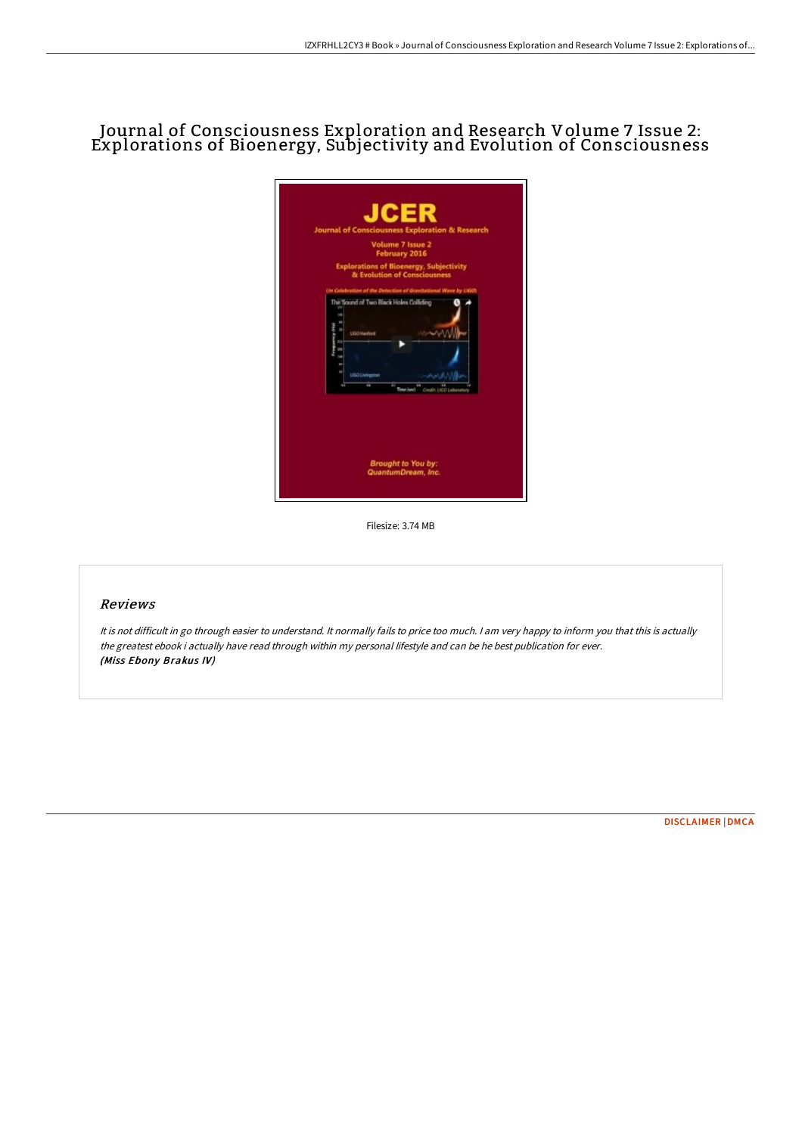## Journal of Consciousness Exploration and Research Volume 7 Issue 2: Explorations of Bioenergy, Subjectivity and Evolution of Consciousness

| <b>Journal of Consciousness Exploration &amp; Research</b><br>Volume 7 Issue 2                           |
|----------------------------------------------------------------------------------------------------------|
| February 2016                                                                                            |
| <b>Explorations of Bioenergy, Subjectivity</b><br>& Evolution of Consciousness                           |
| Un Calebratine of the Detection of Gravitational Wave by LIGO:<br>The Sound of Two Black Holes Colliding |
| LIGO Hardcrit                                                                                            |
|                                                                                                          |
| LIGO Livingston<br>≖<br>Time (sec)<br>Coutr                                                              |
| Brought to You by:<br>QuantumDream, Inc.                                                                 |

Filesize: 3.74 MB

## Reviews

It is not difficult in go through easier to understand. It normally fails to price too much. <sup>I</sup> am very happy to inform you that this is actually the greatest ebook i actually have read through within my personal lifestyle and can be he best publication for ever. (Miss Ebony Brakus IV)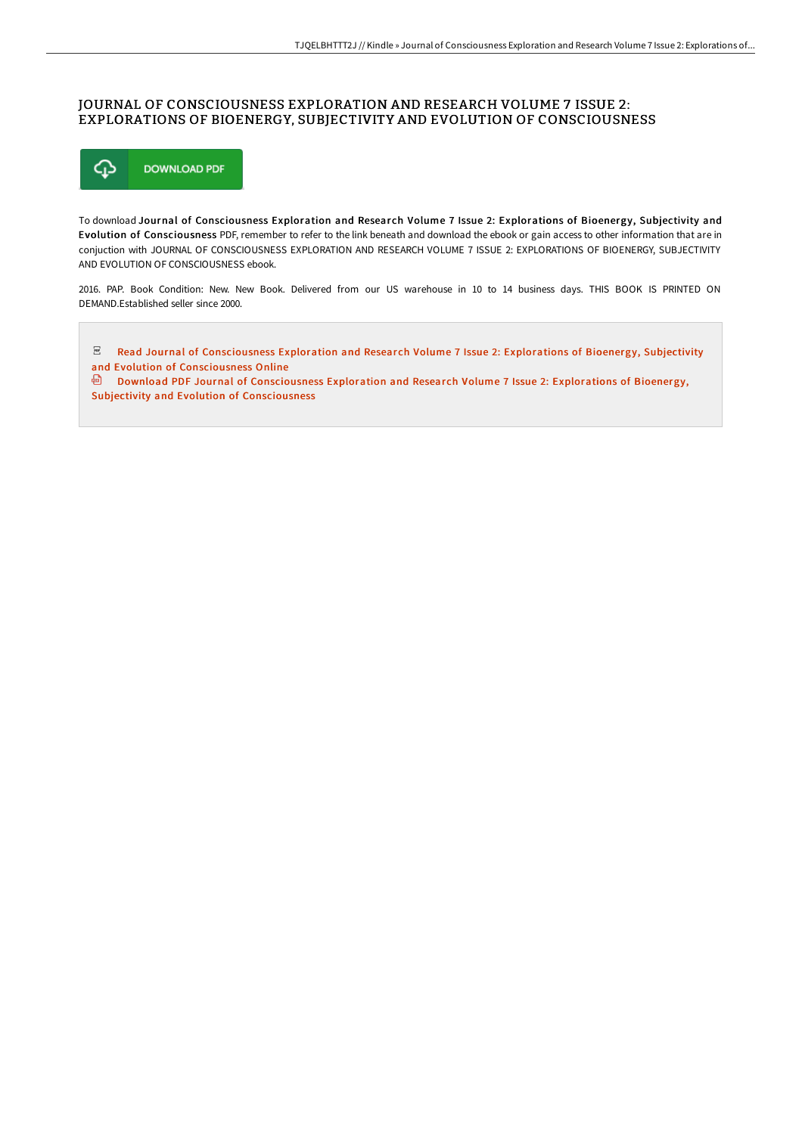## JOURNAL OF CONSCIOUSNESS EXPLORATION AND RESEARCH VOLUME 7 ISSUE 2: EXPLORATIONS OF BIOENERGY, SUBJECTIVITY AND EVOLUTION OF CONSCIOUSNESS



To download Journal of Consciousness Exploration and Research Volume 7 Issue 2: Explorations of Bioenergy, Subjectivity and Evolution of Consciousness PDF, remember to refer to the link beneath and download the ebook or gain access to other information that are in conjuction with JOURNAL OF CONSCIOUSNESS EXPLORATION AND RESEARCH VOLUME 7 ISSUE 2: EXPLORATIONS OF BIOENERGY, SUBJECTIVITY AND EVOLUTION OF CONSCIOUSNESS ebook.

2016. PAP. Book Condition: New. New Book. Delivered from our US warehouse in 10 to 14 business days. THIS BOOK IS PRINTED ON DEMAND.Established seller since 2000.

 $_{\rm per}$ Read Journal of [Consciousness](http://techno-pub.tech/journal-of-consciousness-exploration-and-researc-29.html) Exploration and Research Volume 7 Issue 2: Explorations of Bioenergy, Subjectivity and Evolution of Consciousness Online

**Download PDF Journal of [Consciousness](http://techno-pub.tech/journal-of-consciousness-exploration-and-researc-29.html) Exploration and Research Volume 7 Issue 2: Explorations of Bioenergy,** Subjectivity and Evolution of Consciousness